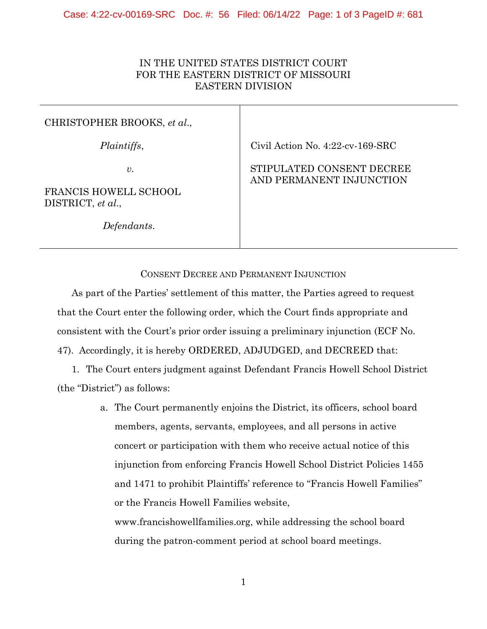## IN THE UNITED STATES DISTRICT COURT FOR THE EASTERN DISTRICT OF MISSOURI EASTERN DIVISION

## CHRISTOPHER BROOKS, *et al*.,

*Plaintiffs*,

*v.*

FRANCIS HOWELL SCHOOL DISTRICT, *et al*.,

*Defendants*.

Civil Action No. 4:22-cv-169-SRC

## STIPULATED CONSENT DECREE AND PERMANENT INJUNCTION

## CONSENT DECREE AND PERMANENT INJUNCTION

As part of the Parties' settlement of this matter, the Parties agreed to request that the Court enter the following order, which the Court finds appropriate and consistent with the Court's prior order issuing a preliminary injunction (ECF No. 47). Accordingly, it is hereby ORDERED, ADJUDGED, and DECREED that:

1. The Court enters judgment against Defendant Francis Howell School District (the "District") as follows:

> a. The Court permanently enjoins the District, its officers, school board members, agents, servants, employees, and all persons in active concert or participation with them who receive actual notice of this injunction from enforcing Francis Howell School District Policies 1455 and 1471 to prohibit Plaintiffs' reference to "Francis Howell Families" or the Francis Howell Families website, www.francishowellfamilies.org, while addressing the school board

> > 1

during the patron-comment period at school board meetings.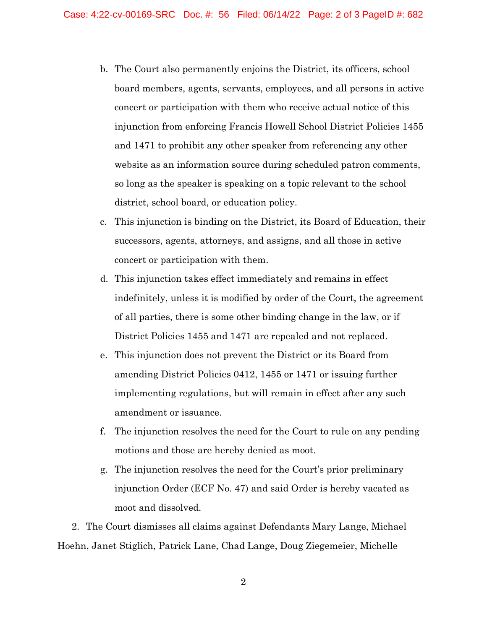- b. The Court also permanently enjoins the District, its officers, school board members, agents, servants, employees, and all persons in active concert or participation with them who receive actual notice of this injunction from enforcing Francis Howell School District Policies 1455 and 1471 to prohibit any other speaker from referencing any other website as an information source during scheduled patron comments, so long as the speaker is speaking on a topic relevant to the school district, school board, or education policy.
- c. This injunction is binding on the District, its Board of Education, their successors, agents, attorneys, and assigns, and all those in active concert or participation with them.
- d. This injunction takes effect immediately and remains in effect indefinitely, unless it is modified by order of the Court, the agreement of all parties, there is some other binding change in the law, or if District Policies 1455 and 1471 are repealed and not replaced.
- e. This injunction does not prevent the District or its Board from amending District Policies 0412, 1455 or 1471 or issuing further implementing regulations, but will remain in effect after any such amendment or issuance.
- f. The injunction resolves the need for the Court to rule on any pending motions and those are hereby denied as moot.
- g. The injunction resolves the need for the Court's prior preliminary injunction Order (ECF No. 47) and said Order is hereby vacated as moot and dissolved.

2. The Court dismisses all claims against Defendants Mary Lange, Michael Hoehn, Janet Stiglich, Patrick Lane, Chad Lange, Doug Ziegemeier, Michelle

2